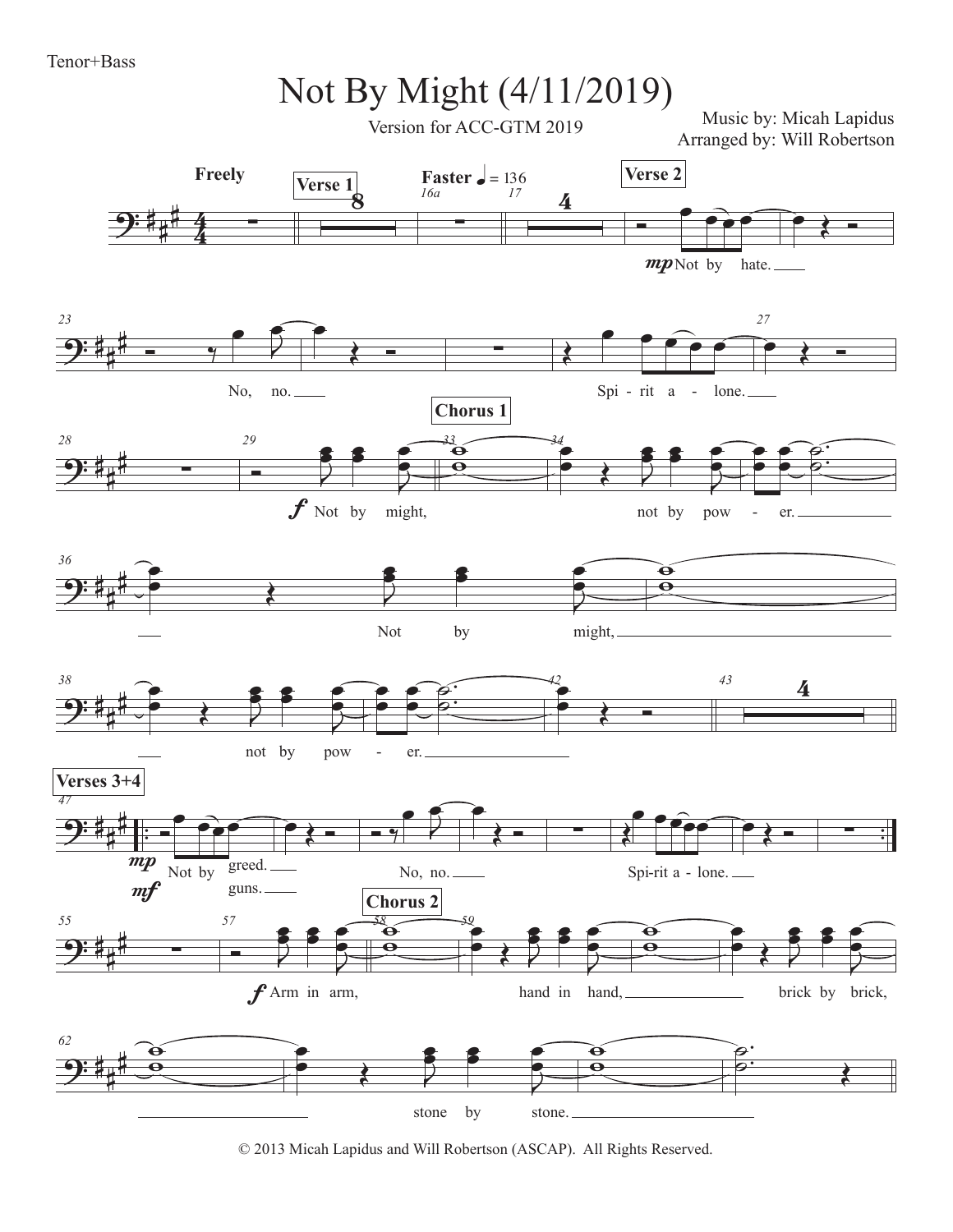

© 2013 Micah Lapidus and Will Robertson (ASCAP). All Rights Reserved.